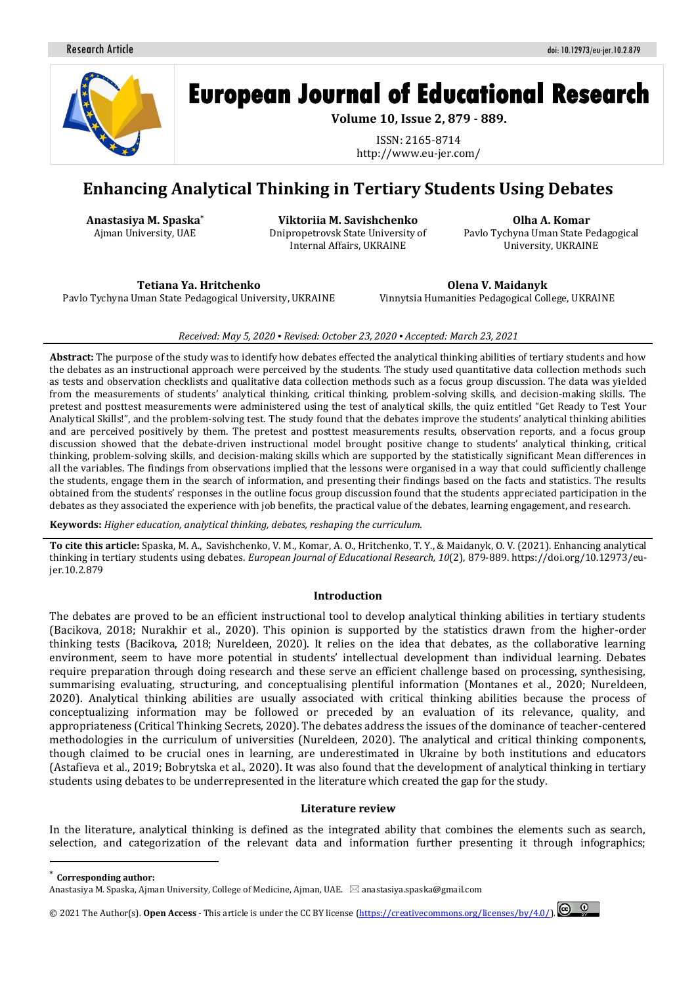Research Article doi: 10.12973/eu-jer.10.2.879



# **European Journal of Educational Research**

**Volume 10, Issue 2, 879 - 889.** 

ISSN: 2165-8714 http://www.eu-jer.com/

# **Enhancing Analytical Thinking in Tertiary Students Using Debates**

**Anastasiya M. Spaska\*** Ajman University, UAE

**Viktoriia M. Savishchenko**  Dnipropetrovsk State University of Internal Affairs, UKRAINE

**Olha A. Komar**  Pavlo Tychyna Uman State Pedagogical University, UKRAINE

**Tetiana Ya. Нritchenko** Pavlo Tychyna Uman State Pedagogical University, UKRAINE

**Olena V. Maidanyk** Vinnytsia Humanities Pedagogical College, UKRAINE

*Received: May 5, 2020 ▪ Revised: October 23, 2020 ▪ Accepted: March 23, 2021* 

**Abstract:** The purpose of the study was to identify how debates effected the analytical thinking abilities of tertiary students and how the debates as an instructional approach were perceived by the students. The study used quantitative data collection methods such as tests and observation checklists and qualitative data collection methods such as a focus group discussion. The data was yielded from the measurements of students' analytical thinking, critical thinking, problem-solving skills, and decision-making skills. The pretest and posttest measurements were administered using the test of analytical skills, the quiz entitled "Get Ready to Test Your Analytical Skills!", and the problem-solving test. The study found that the debates improve the students' analytical thinking abilities and are perceived positively by them. The pretest and posttest measurements results, observation reports, and a focus group discussion showed that the debate-driven instructional model brought positive change to students' analytical thinking, critical thinking, problem-solving skills, and decision-making skills which are supported by the statistically significant Mean differences in all the variables. The findings from observations implied that the lessons were organised in a way that could sufficiently challenge the students, engage them in the search of information, and presenting their findings based on the facts and statistics. The results obtained from the students' responses in the outline focus group discussion found that the students appreciated participation in the debates as they associated the experience with job benefits, the practical value of the debates, learning engagement, and research.

**Keywords:** *Higher education, analytical thinking, debates, reshaping the curriculum.*

**To cite this article:** Spaska, M. A., Savishchenko, V. M., Komar, A. O., Нritchenko, T. Y., & Maidanyk, O. V. (2021). Enhancing analytical thinking in tertiary students using debates. *European Journal of Educational Research, 10*(2), 879-889. https://doi.org/10.12973/eujer.10.2.879

#### **Introduction**

The debates are proved to be an efficient instructional tool to develop analytical thinking abilities in tertiary students (Bacikova, 2018; Nurakhir et al., 2020). This opinion is supported by the statistics drawn from the higher-order thinking tests (Bacikova, 2018; Nureldeen, 2020). It relies on the idea that debates, as the collaborative learning environment, seem to have more potential in students' intellectual development than individual learning. Debates require preparation through doing research and these serve an efficient challenge based on processing, synthesising, summarising evaluating, structuring, and conceptualising plentiful information (Montanes et al., 2020; Nureldeen, 2020). Analytical thinking abilities are usually associated with critical thinking abilities because the process of conceptualizing information may be followed or preceded by an evaluation of its relevance, quality, and appropriateness (Critical Thinking Secrets, 2020). The debates address the issues of the dominance of teacher-centered methodologies in the curriculum of universities (Nureldeen, 2020). The analytical and critical thinking components, though claimed to be crucial ones in learning, are underestimated in Ukraine by both institutions and educators (Astafieva et al., 2019; Bobrytska et al., 2020). It was also found that the development of analytical thinking in tertiary students using debates to be underrepresented in the literature which created the gap for the study.

#### **Literature review**

In the literature, analytical thinking is defined as the integrated ability that combines the elements such as search, selection, and categorization of the relevant data and information further presenting it through infographics;

 $\overline{a}$ 

© 2021 The Author(s). **Open Access** - This article is under the CC BY license [\(https://creativecommons.org/licenses/by/4.0/\)](https://creativecommons.org/licenses/by/4.0/).

<sup>\*</sup> **Corresponding author:**

Anastasiya M. Spaska, Ajman University, College of Medicine, Ajman, UAE.  $\boxtimes$  anastasiya.spaska@gmail.com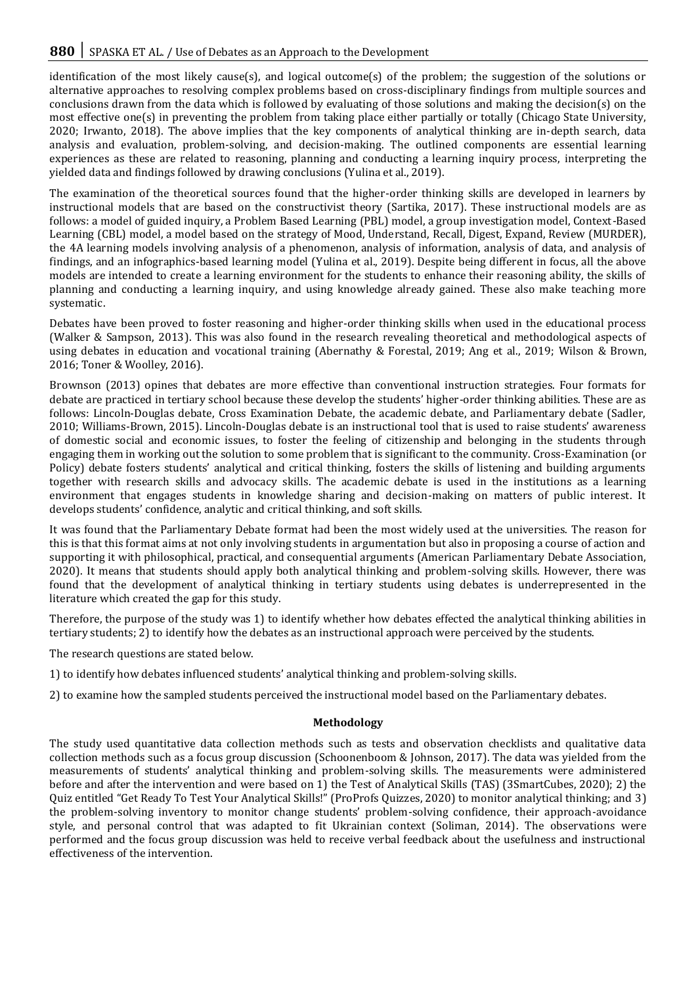identification of the most likely cause(s), and logical outcome(s) of the problem; the suggestion of the solutions or alternative approaches to resolving complex problems based on cross-disciplinary findings from multiple sources and conclusions drawn from the data which is followed by evaluating of those solutions and making the decision(s) on the most effective one(s) in preventing the problem from taking place either partially or totally (Chicago State University, 2020; Irwanto, 2018). The above implies that the key components of analytical thinking are in-depth search, data analysis and evaluation, problem-solving, and decision-making. The outlined components are essential learning experiences as these are related to reasoning, planning and conducting a learning inquiry process, interpreting the yielded data and findings followed by drawing conclusions (Yulina et al., 2019).

The examination of the theoretical sources found that the higher-order thinking skills are developed in learners by instructional models that are based on the constructivist theory (Sartika, 2017). These instructional models are as follows: a model of guided inquiry, a Problem Based Learning (PBL) model, a group investigation model, Context-Based Learning (CBL) model, a model based on the strategy of Mood, Understand, Recall, Digest, Expand, Review (MURDER), the 4A learning models involving analysis of a phenomenon, analysis of information, analysis of data, and analysis of findings, and an infographics-based learning model (Yulina et al., 2019). Despite being different in focus, all the above models are intended to create a learning environment for the students to enhance their reasoning ability, the skills of planning and conducting a learning inquiry, and using knowledge already gained. These also make teaching more systematic.

Debates have been proved to foster reasoning and higher-order thinking skills when used in the educational process (Walker & Sampson, 2013). This was also found in the research revealing theoretical and methodological aspects of using debates in education and vocational training (Abernathy & Forestal, 2019; Ang et al., 2019; Wilson & Brown, 2016; Toner & Woolley, 2016).

Brownson (2013) opines that debates are more effective than conventional instruction strategies. Four formats for debate are practiced in tertiary school because these develop the students' higher-order thinking abilities. These are as follows: Lincoln-Douglas debate, Cross Examination Debate, the academic debate, and Parliamentary debate (Sadler, 2010; Williams-Brown, 2015). Lincoln-Douglas debate is an instructional tool that is used to raise students' awareness of domestic social and economic issues, to foster the feeling of citizenship and belonging in the students through engaging them in working out the solution to some problem that is significant to the community. Cross-Examination (or Policy) debate fosters students' analytical and critical thinking, fosters the skills of listening and building arguments together with research skills and advocacy skills. The academic debate is used in the institutions as a learning environment that engages students in knowledge sharing and decision-making on matters of public interest. It develops students' confidence, analytic and critical thinking, and soft skills.

It was found that the Parliamentary Debate format had been the most widely used at the universities. The reason for this is that this format aims at not only involving students in argumentation but also in proposing a course of action and supporting it with philosophical, practical, and consequential arguments (American Parliamentary Debate Association, 2020). It means that students should apply both analytical thinking and problem-solving skills. However, there was found that the development of analytical thinking in tertiary students using debates is underrepresented in the literature which created the gap for this study.

Therefore, the purpose of the study was 1) to identify whether how debates effected the analytical thinking abilities in tertiary students; 2) to identify how the debates as an instructional approach were perceived by the students.

The research questions are stated below.

- 1) to identify how debates influenced students' analytical thinking and problem-solving skills.
- 2) to examine how the sampled students perceived the instructional model based on the Parliamentary debates.

#### **Methodology**

The study used quantitative data collection methods such as tests and observation checklists and qualitative data collection methods such as a focus group discussion (Schoonenboom & Johnson, 2017). The data was yielded from the measurements of students' analytical thinking and problem-solving skills. The measurements were administered before and after the intervention and were based on 1) the Test of Analytical Skills (TAS) (3SmartCubes, 2020); 2) the Quiz entitled "Get Ready To Test Your Analytical Skills!" (ProProfs Quizzes, 2020) to monitor analytical thinking; and 3) the problem-solving inventory to monitor change students' problem-solving confidence, their approach-avoidance style, and personal control that was adapted to fit Ukrainian context (Soliman, 2014). The observations were performed and the focus group discussion was held to receive verbal feedback about the usefulness and instructional effectiveness of the intervention.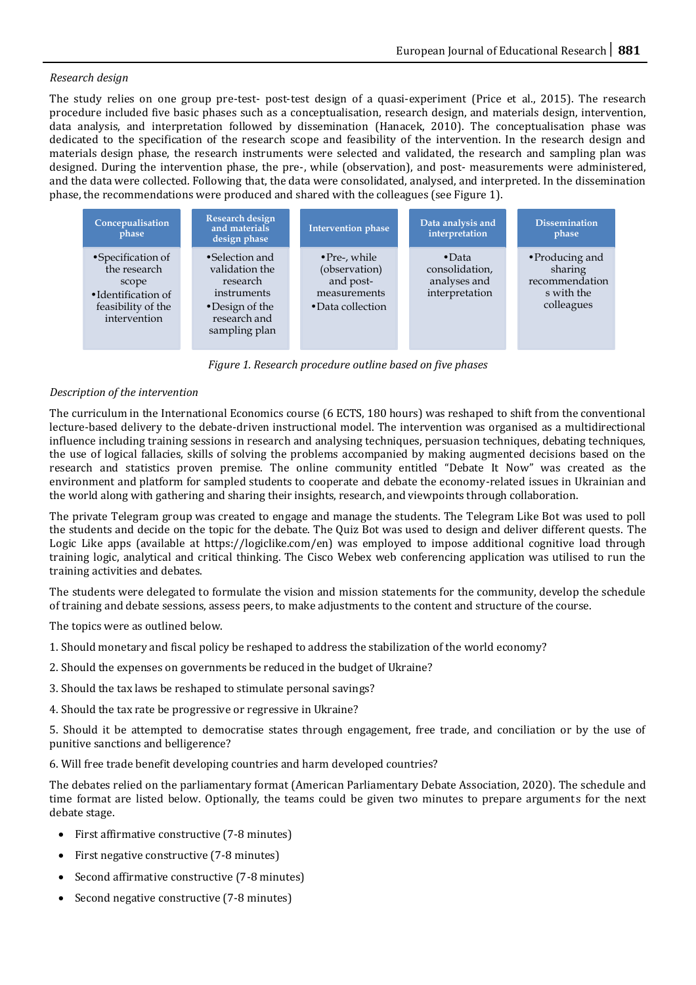#### *Research design*

The study relies on one group pre-test- post-test design of a quasi-experiment (Price et al., 2015). The research procedure included five basic phases such as a conceptualisation, research design, and materials design, intervention, data analysis, and interpretation followed by dissemination (Hanacek, 2010). The conceptualisation phase was dedicated to the specification of the research scope and feasibility of the intervention. In the research design and materials design phase, the research instruments were selected and validated, the research and sampling plan was designed. During the intervention phase, the pre-, while (observation), and post- measurements were administered, and the data were collected. Following that, the data were consolidated, analysed, and interpreted. In the dissemination phase, the recommendations were produced and shared with the colleagues (see Figure 1).



*Figure 1. Research procedure outline based on five phases* 

#### *Description of the intervention*

The curriculum in the International Economics course (6 ECTS, 180 hours) was reshaped to shift from the conventional lecture-based delivery to the debate-driven instructional model. The intervention was organised as a multidirectional influence including training sessions in research and analysing techniques, persuasion techniques, debating techniques, the use of logical fallacies, skills of solving the problems accompanied by making augmented decisions based on the research and statistics proven premise. The online community entitled "Debate It Now" was created as the environment and platform for sampled students to cooperate and debate the economy-related issues in Ukrainian and the world along with gathering and sharing their insights, research, and viewpoints through collaboration.

The private Telegram group was created to engage and manage the students. The Telegram Like Bot was used to poll the students and decide on the topic for the debate. The Quiz Bot was used to design and deliver different quests. The Logic Like apps (available at https://logiclike.com/en) was employed to impose additional cognitive load through training logic, analytical and critical thinking. The Cisco Webex web conferencing application was utilised to run the training activities and debates.

The students were delegated to formulate the vision and mission statements for the community, develop the schedule of training and debate sessions, assess peers, to make adjustments to the content and structure of the course.

The topics were as outlined below.

- 1. Should monetary and fiscal policy be reshaped to address the stabilization of the world economy?
- 2. Should the expenses on governments be reduced in the budget of Ukraine?
- 3. Should the tax laws be reshaped to stimulate personal savings?
- 4. Should the tax rate be progressive or regressive in Ukraine?

5. Should it be attempted to democratise states through engagement, free trade, and conciliation or by the use of punitive sanctions and belligerence?

6. Will free trade benefit developing countries and harm developed countries?

The debates relied on the parliamentary format (American Parliamentary Debate Association, 2020). The schedule and time format are listed below. Optionally, the teams could be given two minutes to prepare arguments for the next debate stage.

- First affirmative constructive (7-8 minutes)
- First negative constructive (7-8 minutes)
- Second affirmative constructive (7-8 minutes)
- Second negative constructive (7-8 minutes)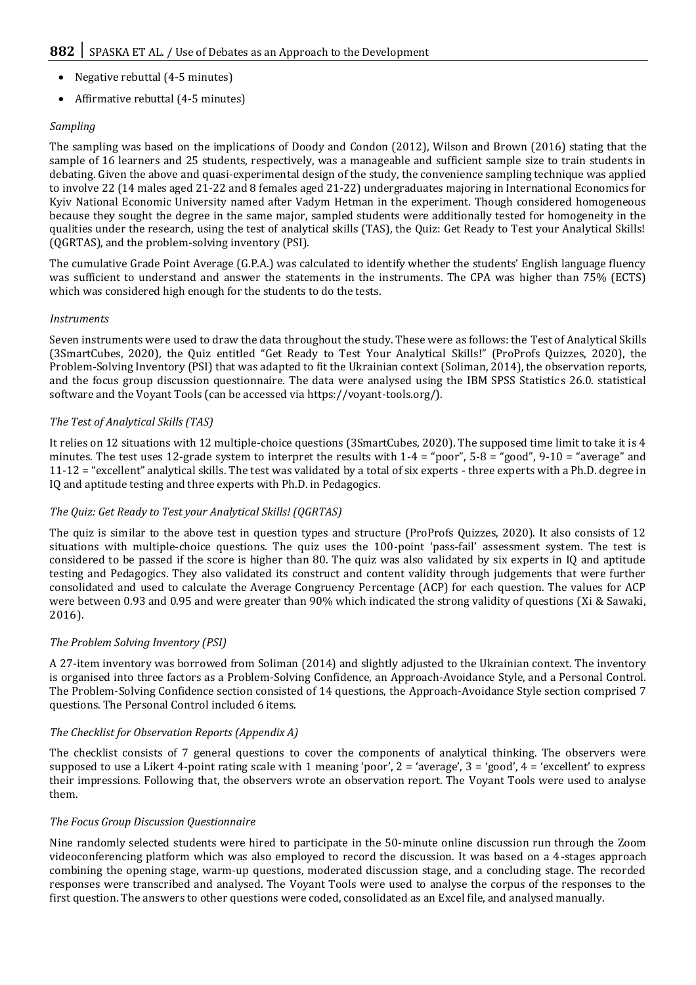- Negative rebuttal (4-5 minutes)
- Affirmative rebuttal (4-5 minutes)

### *Sampling*

The sampling was based on the implications of Doody and Condon (2012), Wilson and Brown (2016) stating that the sample of 16 learners and 25 students, respectively, was a manageable and sufficient sample size to train students in debating. Given the above and quasi-experimental design of the study, the convenience sampling technique was applied to involve 22 (14 males aged 21-22 and 8 females aged 21-22) undergraduates majoring in International Economics for Kyiv National Economic University named after Vadym Hetman in the experiment. Though considered homogeneous because they sought the degree in the same major, sampled students were additionally tested for homogeneity in the qualities under the research, using the test of analytical skills (TAS), the Quiz: Get Ready to Test your Analytical Skills! (QGRTAS), and the problem-solving inventory (PSI).

The cumulative Grade Point Average (G.P.A.) was calculated to identify whether the students' English language fluency was sufficient to understand and answer the statements in the instruments. The CPA was higher than 75% (ECTS) which was considered high enough for the students to do the tests.

#### *Instruments*

Seven instruments were used to draw the data throughout the study. These were as follows: the Test of Analytical Skills (3SmartCubes, 2020), the Quiz entitled "Get Ready to Test Your Analytical Skills!" (ProProfs Quizzes, 2020), the Problem-Solving Inventory (PSI) that was adapted to fit the Ukrainian context (Soliman, 2014), the observation reports, and the focus group discussion questionnaire. The data were analysed using the IBM SPSS Statistics 26.0. statistical software and the Voyant Tools (can be accessed via https://voyant-tools.org/).

#### *The Test of Analytical Skills (TAS)*

It relies on 12 situations with 12 multiple-choice questions (3SmartCubes, 2020). The supposed time limit to take it is 4 minutes. The test uses 12-grade system to interpret the results with  $1-4 = \text{``poor''}, 5-8 = \text{``good''}, 9-10 = \text{``average''}}$  and 11-12 = "excellent" analytical skills. The test was validated by a total of six experts - three experts with a Ph.D. degree in IQ and aptitude testing and three experts with Ph.D. in Pedagogics.

#### *The Quiz: Get Ready to Test your Analytical Skills! (QGRTAS)*

The quiz is similar to the above test in question types and structure (ProProfs Quizzes, 2020). It also consists of 12 situations with multiple-choice questions. The quiz uses the 100-point 'pass-fail' assessment system. The test is considered to be passed if the score is higher than 80. The quiz was also validated by six experts in IQ and aptitude testing and Pedagogics. They also validated its construct and content validity through judgements that were further consolidated and used to calculate the Average Congruency Percentage (ACP) for each question. The values for ACP were between 0.93 and 0.95 and were greater than 90% which indicated the strong validity of questions (Xi & Sawaki, 2016).

#### *The Problem Solving Inventory (PSI)*

A 27-item inventory was borrowed from Soliman (2014) and slightly adjusted to the Ukrainian context. The inventory is organised into three factors as a Problem-Solving Confidence, an Approach-Avoidance Style, and a Personal Control. The Problem-Solving Confidence section consisted of 14 questions, the Approach-Avoidance Style section comprised 7 questions. The Personal Control included 6 items.

#### *The Checklist for Observation Reports (Appendix A)*

The checklist consists of 7 general questions to cover the components of analytical thinking. The observers were supposed to use a Likert 4-point rating scale with 1 meaning 'poor',  $2 = 'average', 3 = 'good', 4 = 'excellent'$  to express their impressions. Following that, the observers wrote an observation report. The Voyant Tools were used to analyse them.

#### *The Focus Group Discussion Questionnaire*

Nine randomly selected students were hired to participate in the 50-minute online discussion run through the Zoom videoconferencing platform which was also employed to record the discussion. It was based on a 4-stages approach combining the opening stage, warm-up questions, moderated discussion stage, and a concluding stage. The recorded responses were transcribed and analysed. The Voyant Tools were used to analyse the corpus of the responses to the first question. The answers to other questions were coded, consolidated as an Excel file, and analysed manually.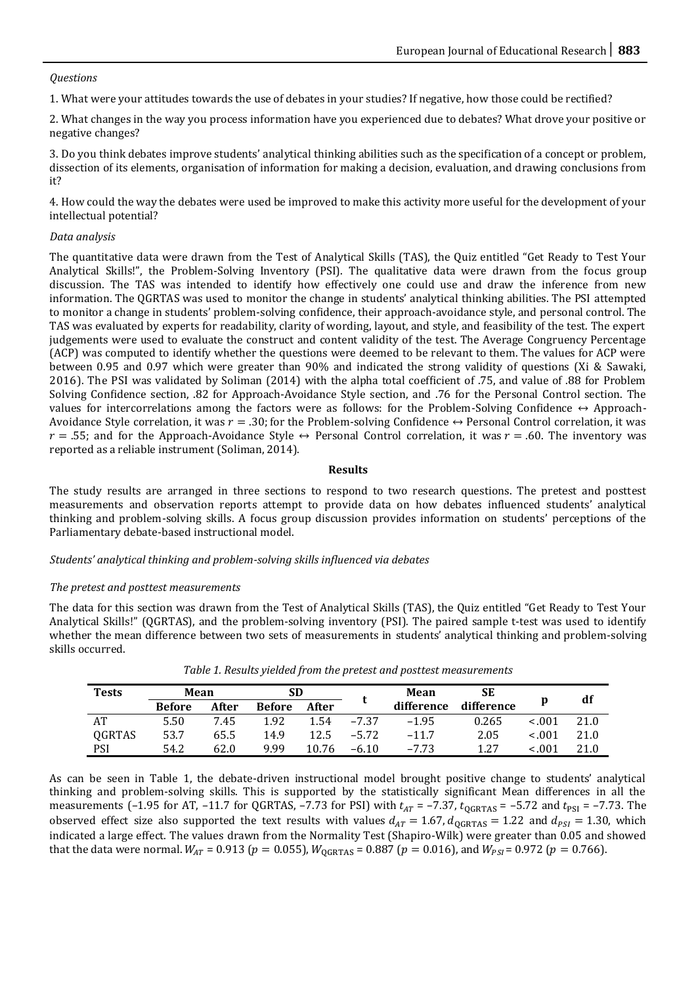#### *Questions*

1. What were your attitudes towards the use of debates in your studies? If negative, how those could be rectified?

2. What changes in the way you process information have you experienced due to debates? What drove your positive or negative changes?

3. Do you think debates improve students' analytical thinking abilities such as the specification of a concept or problem, dissection of its elements, organisation of information for making a decision, evaluation, and drawing conclusions from it?

4. How could the way the debates were used be improved to make this activity more useful for the development of your intellectual potential?

#### *Data analysis*

The quantitative data were drawn from the Test of Analytical Skills (TAS), the Quiz entitled "Get Ready to Test Your Analytical Skills!", the Problem-Solving Inventory (PSI). The qualitative data were drawn from the focus group discussion. The TAS was intended to identify how effectively one could use and draw the inference from new information. The QGRTAS was used to monitor the change in students' analytical thinking abilities. The PSI attempted to monitor a change in students' problem-solving confidence, their approach-avoidance style, and personal control. The TAS was evaluated by experts for readability, clarity of wording, layout, and style, and feasibility of the test. The expert judgements were used to evaluate the construct and content validity of the test. The Average Congruency Percentage (ACP) was computed to identify whether the questions were deemed to be relevant to them. The values for ACP were between 0.95 and 0.97 which were greater than 90% and indicated the strong validity of questions (Xi & Sawaki, 2016). The PSI was validated by Soliman (2014) with the alpha total coefficient of .75, and value of .88 for Problem Solving Confidence section, .82 for Approach-Avoidance Style section, and .76 for the Personal Control section. The values for intercorrelations among the factors were as follows: for the Problem-Solving Confidence  $\leftrightarrow$  Approach-Avoidance Style correlation, it was  $r = .30$ ; for the Problem-solving Confidence  $\leftrightarrow$  Personal Control correlation, it was  $r = .55$ ; and for the Approach-Avoidance Style  $\leftrightarrow$  Personal Control correlation, it was  $r = .60$ . The inventory was reported as a reliable instrument (Soliman, 2014).

#### **Results**

The study results are arranged in three sections to respond to two research questions. The pretest and posttest measurements and observation reports attempt to provide data on how debates influenced students' analytical thinking and problem-solving skills. A focus group discussion provides information on students' perceptions of the Parliamentary debate-based instructional model.

#### *Students' analytical thinking and problem-solving skills influenced via debates*

#### *The pretest and posttest measurements*

The data for this section was drawn from the Test of Analytical Skills (TAS), the Quiz entitled "Get Ready to Test Your Analytical Skills!" (QGRTAS), and the problem-solving inventory (PSI). The paired sample t-test was used to identify whether the mean difference between two sets of measurements in students' analytical thinking and problem-solving skills occurred.

| <b>Tests</b> | Mean          |       | SD            |       |         | Mean       | SЕ         |         |      |
|--------------|---------------|-------|---------------|-------|---------|------------|------------|---------|------|
|              | <b>Before</b> | After | <b>Before</b> | After |         | difference | difference | p       | df   |
| AT           | 5.50          | 7.45  | 1.92          | 1.54  | $-7.37$ | $-1.95$    | 0.265      | < 0.01  | 21.0 |
| QGRTAS       | 53.7          | 65.5  | 14.9          | 12.5  | $-5.72$ | $-11.7$    | 2.05       | $-.001$ | 21.0 |
| <b>PSI</b>   | 54.2          | 62.0  | 999           | 10.76 | $-6.10$ | $-7.73$    | 1.27       | 100.>   | 21.0 |

*Table 1. Results yielded from the pretest and posttest measurements* 

As can be seen in Table 1, the debate-driven instructional model brought positive change to students' analytical thinking and problem-solving skills. This is supported by the statistically significant Mean differences in all the measurements (-1.95 for AT, -11.7 for QGRTAS, -7.73 for PSI) with  $t_{AT}$  = -7.37,  $t_{QGRTAS}$  = -5.72 and  $t_{PSI}$  = -7.73. The observed effect size also supported the text results with values  $d_{AT} = 1.67$ ,  $d_{QGRTAS} = 1.22$  and  $d_{PSI} = 1.30$ , which indicated a large effect. The values drawn from the Normality Test (Shapiro-Wilk) were greater than 0.05 and showed that the data were normal.  $W_{AT}$  = 0.913 ( $p = 0.055$ ),  $W_{OGRTAS}$  = 0.887 ( $p = 0.016$ ), and  $W_{PSI}$  = 0.972 ( $p = 0.766$ ).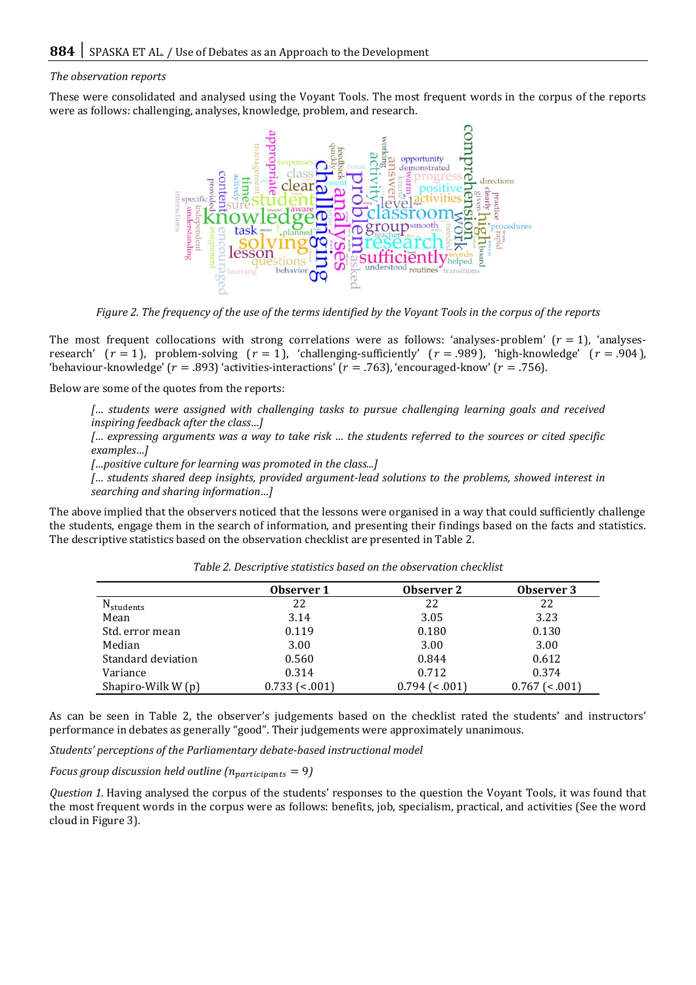#### *The observation reports*

These were consolidated and analysed using the Voyant Tools. The most frequent words in the corpus of the reports were as follows: challenging, analyses, knowledge, problem, and research.



*Figure 2. The frequency of the use of the terms identified by the Voyant Tools in the corpus of the reports* 

The most frequent collocations with strong correlations were as follows: 'analyses-problem'  $(r = 1)$ , 'analysesresearch'  $(r = 1)$ , problem-solving  $(r = 1)$ , 'challenging-sufficiently'  $(r = .989)$ , 'high-knowledge'  $(r = .904)$ , 'behaviour-knowledge'  $(r = .893)$  'activities-interactions'  $(r = .763)$ , 'encouraged-know'  $(r = .756)$ .

Below are some of the quotes from the reports:

*[… students were assigned with challenging tasks to pursue challenging learning goals and received inspiring feedback after the class…]*

*[… expressing arguments was a way to take risk … the students referred to the sources or cited specific examples…]*

*[…positive culture for learning was promoted in the class...]*

*[… students shared deep insights, provided argument-lead solutions to the problems, showed interest in searching and sharing information…]*

The above implied that the observers noticed that the lessons were organised in a way that could sufficiently challenge the students, engage them in the search of information, and presenting their findings based on the facts and statistics. The descriptive statistics based on the observation checklist are presented in Table 2.

|                       | Observer 1            | Observer 2      | Observer 3      |
|-----------------------|-----------------------|-----------------|-----------------|
| N <sub>students</sub> | 22                    | 22              | 22              |
| Mean                  | 3.14                  | 3.05            | 3.23            |
| Std. error mean       | 0.119                 | 0.180           | 0.130           |
| Median                | 3.00                  | 3.00            | 3.00            |
| Standard deviation    | 0.560                 | 0.844           | 0.612           |
| Variance              | 0.314                 | 0.712           | 0.374           |
| Shapiro-Wilk W (p)    | $0.733$ ( $&lt.001$ ) | $0.794$ (<.001) | $0.767$ (<.001) |

*Table 2. Descriptive statistics based on the observation checklist* 

As can be seen in Table 2, the observer's judgements based on the checklist rated the students' and instructors' performance in debates as generally "good". Their judgements were approximately unanimous.

*Students' perceptions of the Parliamentary debate-based instructional model* 

*Focus group discussion held outline*  $(n_{participants} = 9)$ 

*Question 1.* Having analysed the corpus of the students' responses to the question the Voyant Tools, it was found that the most frequent words in the corpus were as follows: benefits, job, specialism, practical, and activities (See the word cloud in Figure 3).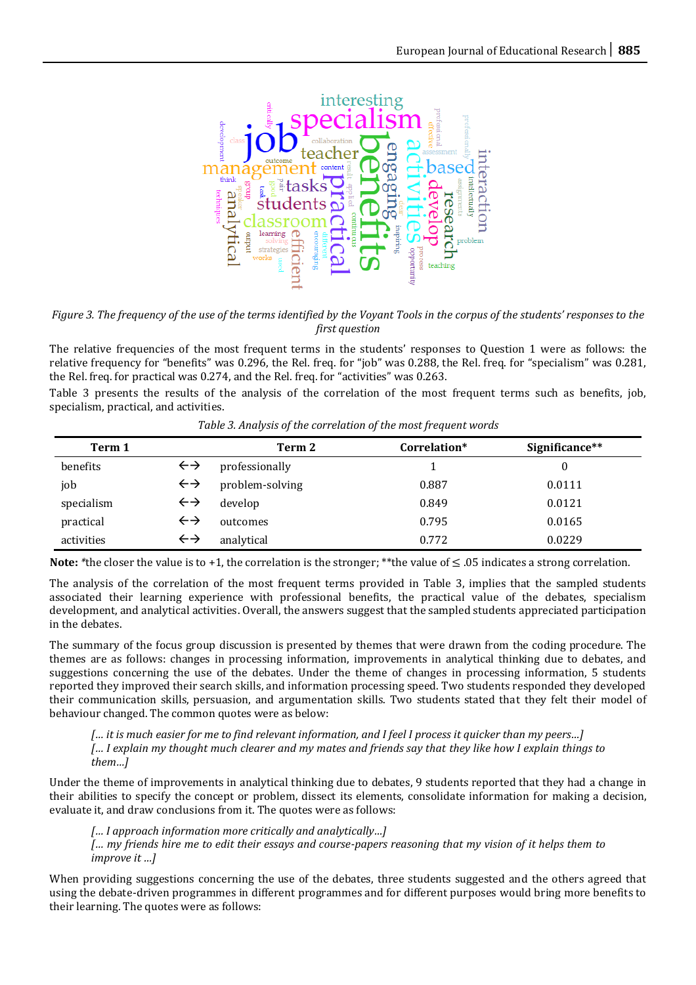

*Figure 3. The frequency of the use of the terms identified by the Voyant Tools in the corpus of the students' responses to the first question* 

The relative frequencies of the most frequent terms in the students' responses to Question 1 were as follows: the relative frequency for "benefits" was 0.296, the Rel. freq. for "job" was 0.288, the Rel. freq. for "specialism" was 0.281, the Rel. freq. for practical was 0.274, and the Rel. freq. for "activities" was 0.263.

Table 3 presents the results of the analysis of the correlation of the most frequent terms such as benefits, job, specialism, practical, and activities.

| Term 1     |                   | Term 2          | Correlation* | Significance** |
|------------|-------------------|-----------------|--------------|----------------|
| benefits   | $\leftrightarrow$ | professionally  |              |                |
| job        | $\leftrightarrow$ | problem-solving | 0.887        | 0.0111         |
| specialism | $\leftrightarrow$ | develop         | 0.849        | 0.0121         |
| practical  | $\leftrightarrow$ | outcomes        | 0.795        | 0.0165         |
| activities | $\leftrightarrow$ | analytical      | 0.772        | 0.0229         |

*Table 3. Analysis of the correlation of the most frequent words* 

**Note:** \*the closer the value is to +1, the correlation is the stronger; \*\*the value of  $\leq .05$  indicates a strong correlation.

The analysis of the correlation of the most frequent terms provided in Table 3, implies that the sampled students associated their learning experience with professional benefits, the practical value of the debates, specialism development, and analytical activities. Overall, the answers suggest that the sampled students appreciated participation in the debates.

The summary of the focus group discussion is presented by themes that were drawn from the coding procedure. The themes are as follows: changes in processing information, improvements in analytical thinking due to debates, and suggestions concerning the use of the debates. Under the theme of changes in processing information, 5 students reported they improved their search skills, and information processing speed. Two students responded they developed their communication skills, persuasion, and argumentation skills. Two students stated that they felt their model of behaviour changed. The common quotes were as below:

*[… it is much easier for me to find relevant information, and I feel I process it quicker than my peers…] [… I explain my thought much clearer and my mates and friends say that they like how I explain things to them…]*

Under the theme of improvements in analytical thinking due to debates, 9 students reported that they had a change in their abilities to specify the concept or problem, dissect its elements, consolidate information for making a decision, evaluate it, and draw conclusions from it. The quotes were as follows:

*[… I approach information more critically and analytically…] [… my friends hire me to edit their essays and course-papers reasoning that my vision of it helps them to improve it …]*

When providing suggestions concerning the use of the debates, three students suggested and the others agreed that using the debate-driven programmes in different programmes and for different purposes would bring more benefits to their learning. The quotes were as follows: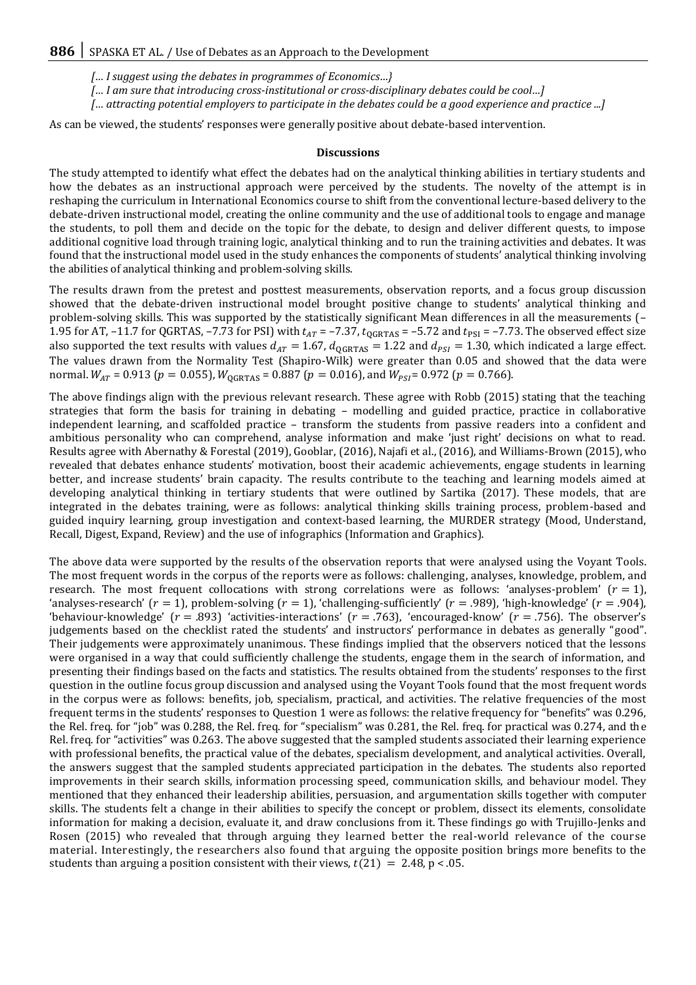- *[… I suggest using the debates in programmes of Economics…}*
- *[… I am sure that introducing cross-institutional or cross-disciplinary debates could be cool…]*
- *[… attracting potential employers to participate in the debates could be a good experience and practice ...]*

As can be viewed, the students' responses were generally positive about debate-based intervention.

#### **Discussions**

The study attempted to identify what effect the debates had on the analytical thinking abilities in tertiary students and how the debates as an instructional approach were perceived by the students. The novelty of the attempt is in reshaping the curriculum in International Economics course to shift from the conventional lecture-based delivery to the debate-driven instructional model, creating the online community and the use of additional tools to engage and manage the students, to poll them and decide on the topic for the debate, to design and deliver different quests, to impose additional cognitive load through training logic, analytical thinking and to run the training activities and debates. It was found that the instructional model used in the study enhances the components of students' analytical thinking involving the abilities of analytical thinking and problem-solving skills.

The results drawn from the pretest and posttest measurements, observation reports, and a focus group discussion showed that the debate-driven instructional model brought positive change to students' analytical thinking and problem-solving skills. This was supported by the statistically significant Mean differences in all the measurements (– 1.95 for AT, -11.7 for QGRTAS, -7.73 for PSI) with  $t_{AT}$  = -7.37,  $t_{QGRTAS}$  = -5.72 and  $t_{PSI}$  = -7.73. The observed effect size also supported the text results with values  $d_{AT} = 1.67$ ,  $d_{QGRTAS} = 1.22$  and  $d_{PSI} = 1.30$ , which indicated a large effect. The values drawn from the Normality Test (Shapiro-Wilk) were greater than 0.05 and showed that the data were normal.  $W_{AT}$  = 0.913 ( $p = 0.055$ ),  $W_{OGRTAS}$  = 0.887 ( $p = 0.016$ ), and  $W_{PSI}$  = 0.972 ( $p = 0.766$ ).

The above findings align with the previous relevant research. These agree with Robb (2015) stating that the teaching strategies that form the basis for training in debating – modelling and guided practice, practice in collaborative independent learning, and scaffolded practice – transform the students from passive readers into a confident and ambitious personality who can comprehend, analyse information and make 'just right' decisions on what to read. Results agree with Abernathy & Forestal (2019), Gooblar, (2016), Najafi et al., (2016), and Williams-Brown (2015), who revealed that debates enhance students' motivation, boost their academic achievements, engage students in learning better, and increase students' brain capacity. The results contribute to the teaching and learning models aimed at developing analytical thinking in tertiary students that were outlined by Sartika (2017). These models, that are integrated in the debates training, were as follows: analytical thinking skills training process, problem-based and guided inquiry learning, group investigation and context-based learning, the MURDER strategy (Mood, Understand, Recall, Digest, Expand, Review) and the use of infographics (Information and Graphics).

The above data were supported by the results of the observation reports that were analysed using the Voyant Tools. The most frequent words in the corpus of the reports were as follows: challenging, analyses, knowledge, problem, and research. The most frequent collocations with strong correlations were as follows: 'analyses-problem'  $(r = 1)$ , 'analyses-research' ( $r = 1$ ), problem-solving ( $r = 1$ ), 'challenging-sufficiently' ( $r = .989$ ), 'high-knowledge' ( $r = .904$ ), 'behaviour-knowledge'  $(r = .893)$  'activities-interactions'  $(r = .763)$ , 'encouraged-know'  $(r = .756)$ . The observer's judgements based on the checklist rated the students' and instructors' performance in debates as generally "good". Their judgements were approximately unanimous. These findings implied that the observers noticed that the lessons were organised in a way that could sufficiently challenge the students, engage them in the search of information, and presenting their findings based on the facts and statistics. The results obtained from the students' responses to the first question in the outline focus group discussion and analysed using the Voyant Tools found that the most frequent words in the corpus were as follows: benefits, job, specialism, practical, and activities. The relative frequencies of the most frequent terms in the students' responses to Question 1 were as follows: the relative frequency for "benefits" was 0.296, the Rel. freq. for "job" was 0.288, the Rel. freq. for "specialism" was 0.281, the Rel. freq. for practical was 0.274, and the Rel. freq. for "activities" was 0.263. The above suggested that the sampled students associated their learning experience with professional benefits, the practical value of the debates, specialism development, and analytical activities. Overall, the answers suggest that the sampled students appreciated participation in the debates. The students also reported improvements in their search skills, information processing speed, communication skills, and behaviour model. They mentioned that they enhanced their leadership abilities, persuasion, and argumentation skills together with computer skills. The students felt a change in their abilities to specify the concept or problem, dissect its elements, consolidate information for making a decision, evaluate it, and draw conclusions from it. These findings go with Trujillo-Jenks and Rosen (2015) who revealed that through arguing they learned better the real-world relevance of the course material. Interestingly, the researchers also found that arguing the opposite position brings more benefits to the students than arguing a position consistent with their views,  $t(21) = 2.48$ ,  $p < .05$ .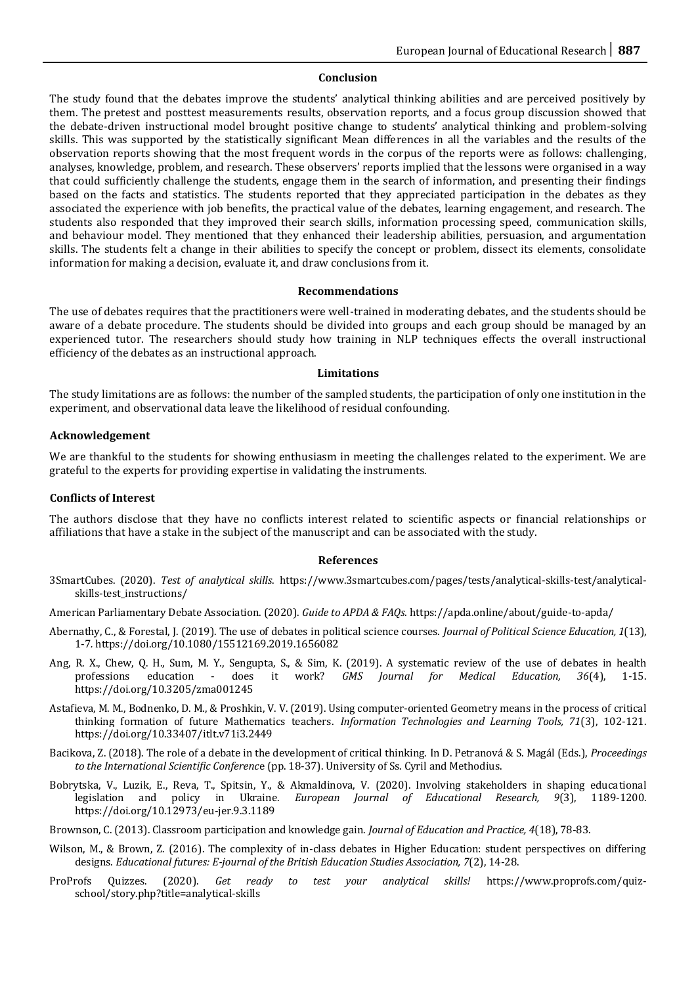#### **Conclusion**

The study found that the debates improve the students' analytical thinking abilities and are perceived positively by them. The pretest and posttest measurements results, observation reports, and a focus group discussion showed that the debate-driven instructional model brought positive change to students' analytical thinking and problem-solving skills. This was supported by the statistically significant Mean differences in all the variables and the results of the observation reports showing that the most frequent words in the corpus of the reports were as follows: challenging, analyses, knowledge, problem, and research. These observers' reports implied that the lessons were organised in a way that could sufficiently challenge the students, engage them in the search of information, and presenting their findings based on the facts and statistics. The students reported that they appreciated participation in the debates as they associated the experience with job benefits, the practical value of the debates, learning engagement, and research. The students also responded that they improved their search skills, information processing speed, communication skills, and behaviour model. They mentioned that they enhanced their leadership abilities, persuasion, and argumentation skills. The students felt a change in their abilities to specify the concept or problem, dissect its elements, consolidate information for making a decision, evaluate it, and draw conclusions from it.

#### **Recommendations**

The use of debates requires that the practitioners were well-trained in moderating debates, and the students should be aware of a debate procedure. The students should be divided into groups and each group should be managed by an experienced tutor. The researchers should study how training in NLP techniques effects the overall instructional efficiency of the debates as an instructional approach.

#### **Limitations**

The study limitations are as follows: the number of the sampled students, the participation of only one institution in the experiment, and observational data leave the likelihood of residual confounding.

#### **Acknowledgement**

We are thankful to the students for showing enthusiasm in meeting the challenges related to the experiment. We are grateful to the experts for providing expertise in validating the instruments.

#### **Conflicts of Interest**

The authors disclose that they have no conflicts interest related to scientific aspects or financial relationships or affiliations that have a stake in the subject of the manuscript and can be associated with the study.

#### **References**

3SmartCubes. (2020). *Test of analytical skills*. https://www.3smartcubes.com/pages/tests/analytical-skills-test/analyticalskills-test\_instructions/

American Parliamentary Debate Association. (2020). *Guide to APDA & FAQs*. https://apda.online/about/guide-to-apda/

- Abernathy, C., & Forestal, J. (2019). The use of debates in political science courses. *Journal of Political Science Education, 1*(13), 1-7*.* https://doi.org/10.1080/15512169.2019.1656082
- Ang, R. X., Chew, Q. H., Sum, M. Y., Sengupta, S., & Sim, K. (2019). A systematic review of the use of debates in health professions education - does it work? *GMS Journal for Medical Education, 36*(4), 1-15. https://doi.org/10.3205/zma001245
- Astafieva, M. M., Bodnenko, D. M., & Proshkin, V. V. (2019). Using computer-oriented Geometry means in the process of critical thinking formation of future Mathematics teachers. *Information Technologies and Learning Tools, 71*(3), 102-121. https://doi.org/10.33407/itlt.v71i3.2449
- Bacikova, Z. (2018). The role of a debate in the development of critical thinking. In D. Petranová & S. Magál (Eds.), *Proceedings to the International Scientific Conferenc*e (pp. 18-37). University of Ss. Cyril and Methodius.
- Bobrytska, V., Luzik, E., Reva, T., Spitsin, Y., & Akmaldinova, V. (2020). Involving stakeholders in shaping educational legislation and policy in Ukraine. *European Journal of Educational Research, 9*(3), 1189-1200. https://doi.org/10.12973/eu-jer.9.3.1189
- Brownson, C. (2013). Classroom participation and knowledge gain. *Journal of Education and Practice, 4*(18), 78-83.
- Wilson, M., & Brown, Z. (2016). The complexity of in-class debates in Higher Education: student perspectives on differing designs. *Educational futures: E-journal of the British Education Studies Association, 7*(2), 14-28.
- ProProfs Quizzes. (2020). *Get ready to test your analytical skills!* https://www.proprofs.com/quizschool/story.php?title=analytical-skills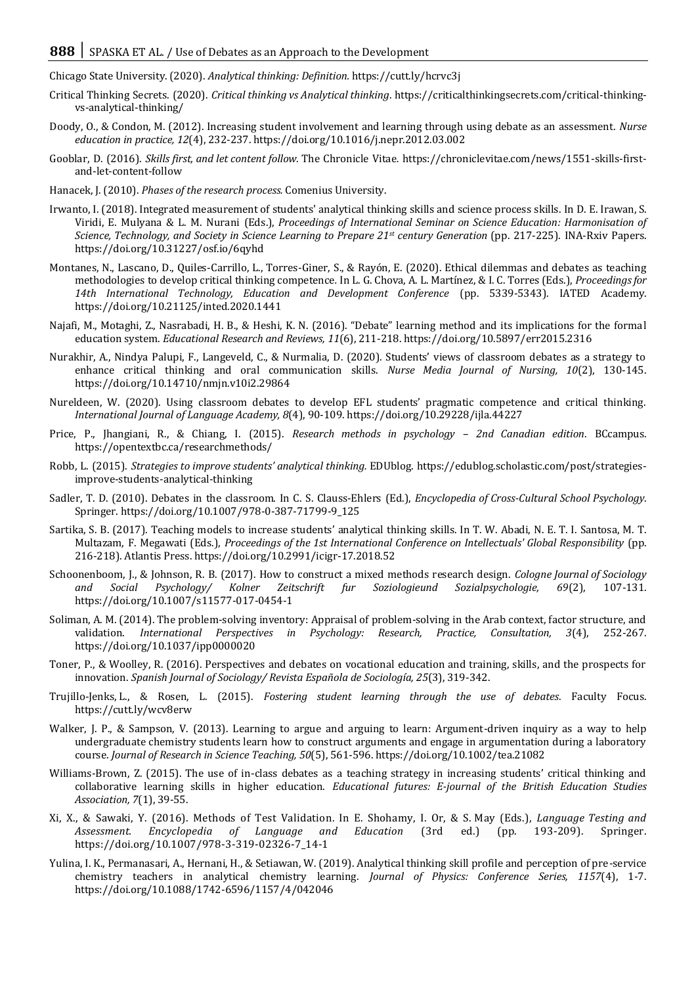Chicago State University. (2020). *Analytical thinking: Definition.* https://cutt.ly/hcrvc3j

- Critical Thinking Secrets. (2020). *Critical thinking vs Analytical thinking*. https://criticalthinkingsecrets.com/critical-thinkingvs-analytical-thinking/
- Doody, O., & Condon, M. (2012). Increasing student involvement and learning through using debate as an assessment. *Nurse education in practice, 12*(4), 232-237. https://doi.org/10.1016/j.nepr.2012.03.002
- Gooblar, D. (2016). *Skills first, and let content follow.* The Chronicle Vitae*.* https://chroniclevitae.com/news/1551-skills-firstand-let-content-follow
- Hanacek, J. (2010). *Phases of the research process.* Comenius University.
- Irwanto, I. (2018). Integrated measurement of students' analytical thinking skills and science process skills. In D. E. Irawan, S. Viridi, E. Mulyana & L. M. Nurani (Eds.), *Proceedings of International Seminar on Science Education: Harmonisation of Science, Technology, and Society in Science Learning to Prepare 21st century Generation* (pp. 217-225). INA-Rxiv Papers. https://doi.org/10.31227/osf.io/6qyhd
- Montanes, N., Lascano, D., Quiles-Carrillo, L., Torres-Giner, S., & Rayón, E. (2020). Ethical dilemmas and debates as teaching methodologies to develop critical thinking competence*.* In L. G. Chova, A. L. Martínez, & I. C. Torres (Eds.), *Proceedings for 14th International Technology, Education and Development Conference* (pp. 5339-5343). IATED Academy. https://doi.org/10.21125/inted.2020.1441
- Najafi, M., Motaghi, Z., Nasrabadi, H. B., & Heshi, K. N. (2016). "Debate" learning method and its implications for the formal education system. *Educational Research and Reviews, 11*(6), 211-218. https://doi.org/10.5897/err2015.2316
- Nurakhir, A., Nindya Palupi, F., Langeveld, C., & Nurmalia, D. (2020). Students' views of classroom debates as a strategy to enhance critical thinking and oral communication skills. *Nurse Media Journal of Nursing, 10*(2), 130-145. https://doi.org/10.14710/nmjn.v10i2.29864
- Nureldeen, W. (2020). Using classroom debates to develop EFL students' pragmatic competence and critical thinking. *International Journal of Language Academy, 8*(4), 90-109. https://doi.org/10.29228/ijla.44227
- Price, P., Jhangiani, R., & Chiang, I. (2015). *Research methods in psychology 2nd Canadian edition*. BCcampus. https://opentextbc.ca/researchmethods/
- Robb, L. (2015). *Strategies to improve students' analytical thinking.* EDUblog. https://edublog.scholastic.com/post/strategiesimprove-students-analytical-thinking
- Sadler, T. D. (2010). Debates in the classroom. In C. S. Clauss-Ehlers (Ed.), *Encyclopedia of Cross-Cultural School Psychology*. Springer[. https://doi.org/10.1007/978-0-387-71799-9\\_125](https://doi.org/10.1007/978-0-387-71799-9_125)
- Sartika, S. B. (2017). Teaching models to increase students' analytical thinking skills. In T. W. Abadi, N. E. T. I. Santosa, M. T. Multazam, F. Megawati (Eds.), *Proceedings of the 1st International Conference on Intellectuals' Global Responsibility* (pp. 216-218). Atlantis Press. https://doi.org/10.2991/icigr-17.2018.52
- Schoonenboom, J., & Johnson, R. B. (2017). How to construct a mixed methods research design. *Cologne Journal of Sociology and Social Psychology/ Kolner Zeitschrift fur Soziologieund Sozialpsychologie, 69*(2), 107-131. https://doi.org/10.1007/s11577-017-0454-1
- Soliman, A. M. (2014). The problem-solving inventory: Appraisal of problem-solving in the Arab context, factor structure, and validation. *International Perspectives in Psychology: Research, Practice, Consultation, 3*(4), 252-267. https://doi.org/10.1037/ipp0000020
- Toner, P., & Woolley, R. (2016). Perspectives and debates on vocational education and training, skills, and the prospects for innovation. *Spanish Journal of Sociology/ Revista Española de Sociología, 25*(3), 319-342.
- Trujillo-Jenks, L., & Rosen, L. (2015). *Fostering student learning through the use of debates.* Faculty Focus. https://cutt.ly/wcv8erw
- Walker, J. P., & Sampson, V. (2013). Learning to argue and arguing to learn: Argument-driven inquiry as a way to help undergraduate chemistry students learn how to construct arguments and engage in argumentation during a laboratory course. *Journal of Research in Science Teaching, 50*(5), 561-596. https://doi.org/10.1002/tea.21082
- Williams-Brown, Z. (2015). The use of in-class debates as a teaching strategy in increasing students' critical thinking and collaborative learning skills in higher education. *Educational futures: E-journal of the British Education Studies Association, 7*(1), 39-55.
- Xi, X., & Sawaki, Y. (2016). Methods of Test Validation*.* In E. Shohamy, I. Or, & S. May (Eds.), *Language Testing and Assessment. Encyclopedia of Language and Education* (3rd ed.) (pp. 193-209). Springer. https://doi.org/10.1007/978-3-319-02326-7\_14-1
- Yulina, I. K., Permanasari, A., Hernani, H., & Setiawan, W. (2019). Analytical thinking skill profile and perception of pre-service chemistry teachers in analytical chemistry learning. *Journal of Physics: Conference Series, 1157*(4), 1-7. https://doi.org/10.1088/1742-6596/1157/4/042046